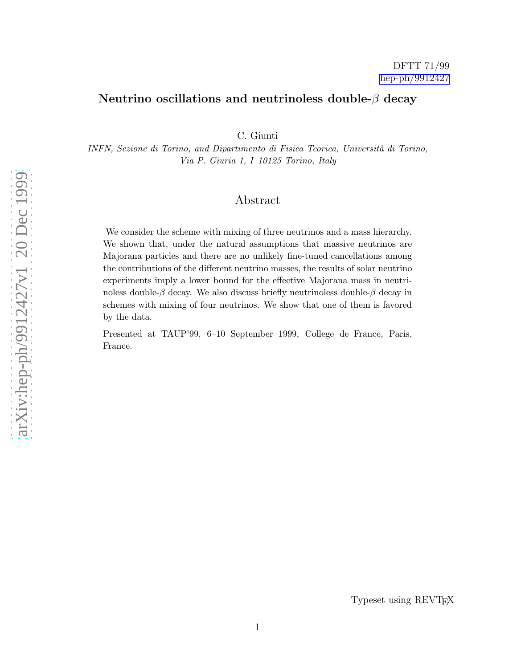## Neutrino oscillations and neutrinoless double- $\beta$  decay

C. Giunti

INFN, Sezione di Torino, and Dipartimento di Fisica Teorica, Università di Torino, Via P. Giuria 1, I–10125 Torino, Italy

## Abstract

We consider the scheme with mixing of three neutrinos and a mass hierarchy. We shown that, under the natural assumptions that massive neutrinos are Majorana particles and there are no unlikely fine-tuned cancellations among the contributions of the different neutrino masses, the results of solar neutrino experiments imply a lower bound for the effective Majorana mass in neutrinoless double- $\beta$  decay. We also discuss briefly neutrinoless double- $\beta$  decay in schemes with mixing of four neutrinos. We show that one of them is favored by the data.

Presented at TAUP'99, 6–10 September 1999, College de France, Paris, France.

Typeset using REVTEX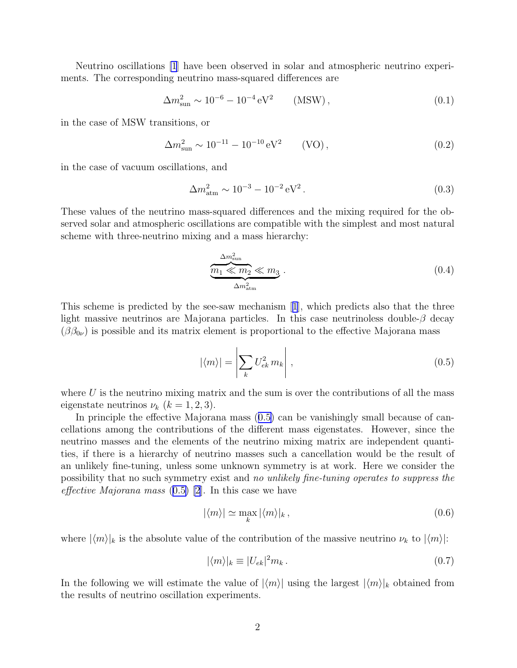<span id="page-1-0"></span>Neutrino oscillations [\[1](#page-4-0)] have been observed in solar and atmospheric neutrino experiments. The corresponding neutrino mass-squared differences are

> $\Delta m_{\text{sun}}^2 \sim 10^{-6} - 10^{-4} \,\text{eV}^2$  $(MSW)$ ,  $(0.1)$

in the case of MSW transitions, or

 $\Delta m_{\text{sun}}^2 \sim 10^{-11} - 10^{-10} \text{ eV}^2$  (VO), (0.2)

in the case of vacuum oscillations, and

$$
\Delta m_{\text{atm}}^2 \sim 10^{-3} - 10^{-2} \,\text{eV}^2 \,. \tag{0.3}
$$

These values of the neutrino mass-squared differences and the mixing required for the observed solar and atmospheric oscillations are compatible with the simplest and most natural scheme with three-neutrino mixing and a mass hierarchy:

$$
\underbrace{m_1 \ll m_2 \ll m_2}_{\Delta m_{\text{atm}}^2} \ll m_3 \,. \tag{0.4}
$$

This scheme is predicted by the see-saw mechanism[[1](#page-4-0)], which predicts also that the three light massive neutrinos are Majorana particles. In this case neutrinoless double- $\beta$  decay  $(\beta \beta_{0\nu})$  is possible and its matrix element is proportional to the effective Majorana mass

$$
|\langle m \rangle| = \left| \sum_{k} U_{ek}^2 m_k \right|, \qquad (0.5)
$$

where  $U$  is the neutrino mixing matrix and the sum is over the contributions of all the mass eigenstate neutrinos  $\nu_k$   $(k = 1, 2, 3)$ .

In principle the effective Majorana mass  $(0.5)$  can be vanishingly small because of cancellations among the contributions of the different mass eigenstates. However, since the neutrino masses and the elements of the neutrino mixing matrix are independent quantities, if there is a hierarchy of neutrino masses such a cancellation would be the result of an unlikely fine-tuning, unless some unknown symmetry is at work. Here we consider the possibility that no such symmetry exist and no unlikely fine-tuning operates to suppress the effective Majorana mass  $(0.5)$  |2|. In this case we have

$$
|\langle m \rangle| \simeq \max_{k} |\langle m \rangle|_{k}, \qquad (0.6)
$$

where  $|\langle m \rangle|_k$  is the absolute value of the contribution of the massive neutrino  $\nu_k$  to  $|\langle m \rangle|$ :

$$
|\langle m \rangle|_{k} \equiv |U_{ek}|^2 m_k. \tag{0.7}
$$

In the following we will estimate the value of  $|\langle m \rangle|$  using the largest  $|\langle m \rangle|_k$  obtained from the results of neutrino oscillation experiments.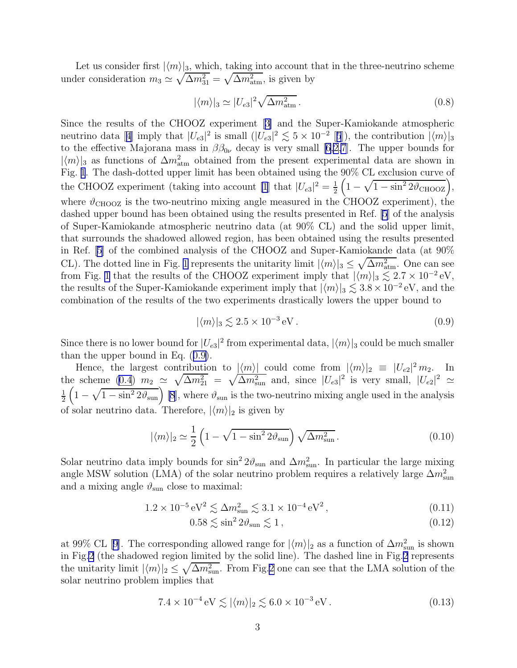<span id="page-2-0"></span>Let us consider first  $|\langle m \rangle|_3$ , which, taking into account that in the three-neutrino scheme under consideration  $m_3 \simeq \sqrt{\Delta m_{31}^2} = \sqrt{\Delta m_{\text{atm}}^2}$ , is given by

$$
|\langle m \rangle|_3 \simeq |U_{e3}|^2 \sqrt{\Delta m_{\text{atm}}^2} \,. \tag{0.8}
$$

Since the results of the CHOOZ experiment[[3\]](#page-4-0) and the Super-Kamiokande atmospheric neutrinodata [[4](#page-4-0)] imply that  $|U_{e3}|^2$  is small  $(|U_{e3}|^2 \lesssim 5 \times 10^{-2}$  $(|U_{e3}|^2 \lesssim 5 \times 10^{-2}$  $(|U_{e3}|^2 \lesssim 5 \times 10^{-2}$  [5]), the contribution  $|\langle m \rangle|_3$ to the effective Majorana mass in  $\beta \beta_{0\nu}$  decay is very small [\[6,2,7](#page-4-0)]. The upper bounds for  $|\langle m \rangle|_3$  as functions of  $\Delta m^2_{\text{atm}}$  obtained from the present experimental data are shown in Fig. [1](#page-5-0). The dash-dotted upper limit has been obtained using the 90% CL exclusion curve of the CHOOZ experiment (taking into account [\[1](#page-4-0)] that  $|U_{e3}|^2 = \frac{1}{2}$  $\frac{1}{2}\left(1-\sqrt{1-\sin^2 2\vartheta_{\text{CHOOZ}}}\right),$ where  $\vartheta_{\text{CHOOZ}}$  is the two-neutrino mixing angle measured in the CHOOZ experiment), the dashed upper bound has been obtained using the results presented in Ref. [\[5](#page-4-0)] of the analysis of Super-Kamiokande atmospheric neutrino data (at 90% CL) and the solid upper limit, that surrounds the shadowed allowed region, has been obtained using the results presented in Ref. [\[5\]](#page-4-0) of the combined analysis of the CHOOZ and Super-Kamiokande data (at 90% CL). The dotted line in Fig. [1](#page-5-0) represents the unitarity limit  $|\langle m \rangle|_3 \leq \sqrt{\Delta m_{\text{atm}}^2}$ . One can see from Fig. [1](#page-5-0) that the results of the CHOOZ experiment imply that  $|\langle m \rangle|_3 \lesssim 2.7 \times 10^{-2} \text{ eV}$ , the results of the Super-Kamiokande experiment imply that  $|\langle m \rangle|_3 \lesssim 3.8 \times 10^{-2}$  eV, and the combination of the results of the two experiments drastically lowers the upper bound to

$$
|\langle m \rangle|_3 \lesssim 2.5 \times 10^{-3} \,\text{eV} \,. \tag{0.9}
$$

Since there is no lower bound for  $|U_{e3}|^2$  from experimental data,  $|\langle m \rangle|_3$  could be much smaller than the upper bound in Eq. (0.9).

Hence, the largest contribution to  $|\langle m \rangle|$  could come from  $|\langle m \rangle|_2 \equiv |U_{e2}|^2 m_2$ . In the scheme [\(0.4](#page-1-0))  $m_2 \simeq \sqrt{\Delta m_{21}^2} = \sqrt{\Delta m_{\text{sun}}^2}$  and, since  $|U_{e3}|^2$  is very small,  $|U_{e2}|^2 \simeq$ 1  $\frac{1}{2} \left(1 - \sqrt{1 - \sin^2 2 \vartheta_{\rm sun}}\right)$  [\[8](#page-4-0)], where  $\vartheta_{\rm sun}$  is the two-neutrino mixing angle used in the analysis of solar neutrino data. Therefore,  $|\langle m \rangle|_2$  is given by

$$
|\langle m \rangle|_2 \simeq \frac{1}{2} \left( 1 - \sqrt{1 - \sin^2 2\vartheta_{\rm sun}} \right) \sqrt{\Delta m_{\rm sun}^2} \,. \tag{0.10}
$$

Solar neutrino data imply bounds for  $\sin^2 2\theta_{\text{sun}}$  and  $\Delta m_{\text{sun}}^2$ . In particular the large mixing angle MSW solution (LMA) of the solar neutrino problem requires a relatively large  $\Delta m_{\text{sun}}^2$ and a mixing angle  $\vartheta_{\text{sun}}$  close to maximal:

$$
1.2 \times 10^{-5} \,\mathrm{eV^2} \lesssim \Delta m_{\text{sun}}^2 \lesssim 3.1 \times 10^{-4} \,\mathrm{eV^2} \,,\tag{0.11}
$$

$$
0.58 \lesssim \sin^2 2\vartheta_{\rm sun} \lesssim 1\,,\tag{0.12}
$$

at99% CL [[9\]](#page-4-0). The corresponding allowed range for  $|\langle m \rangle|_2$  as a function of  $\Delta m_{\text{sun}}^2$  is shown in Fig[.2](#page-6-0) (the shadowed region limited by the solid line). The dashed line in Fig.[2](#page-6-0) represents the unitarity limit  $|\langle m \rangle|_2 \leq \sqrt{\Delta m_{\text{sun}}^2}$  $|\langle m \rangle|_2 \leq \sqrt{\Delta m_{\text{sun}}^2}$  $|\langle m \rangle|_2 \leq \sqrt{\Delta m_{\text{sun}}^2}$ . From Fig.2 one can see that the LMA solution of the solar neutrino problem implies that

> $7.4 \times 10^{-4} \,\text{eV} \lesssim |\langle m \rangle|_2 \lesssim 6.0 \times 10^{-3}$  $(0.13)$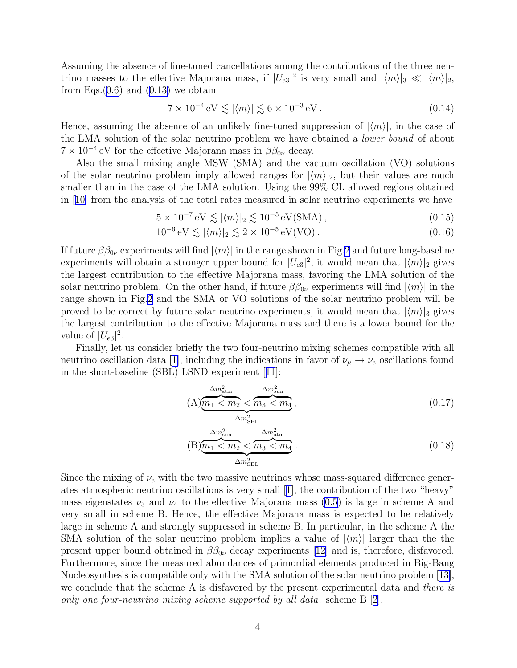Assuming the absence of fine-tuned cancellations among the contributions of the three neutrino masses to the effective Majorana mass, if  $|U_{e3}|^2$  is very small and  $|\langle m \rangle|_3 \ll |\langle m \rangle|_2$ , from Eqs. $(0.6)$  $(0.6)$  $(0.6)$  and  $(0.13)$  $(0.13)$  we obtain

$$
7 \times 10^{-4} \,\mathrm{eV} \lesssim |\langle m \rangle| \lesssim 6 \times 10^{-3} \,\mathrm{eV} \,. \tag{0.14}
$$

Hence, assuming the absence of an unlikely fine-tuned suppression of  $|\langle m \rangle|$ , in the case of the LMA solution of the solar neutrino problem we have obtained a lower bound of about  $7 \times 10^{-4}$  eV for the effective Majorana mass in  $\beta \beta_{0\nu}$  decay.

Also the small mixing angle MSW (SMA) and the vacuum oscillation (VO) solutions of the solar neutrino problem imply allowed ranges for  $|\langle m \rangle|_2$ , but their values are much smaller than in the case of the LMA solution. Using the 99% CL allowed regions obtained in[[10\]](#page-4-0) from the analysis of the total rates measured in solar neutrino experiments we have

 $5 \times 10^{-7} \text{ eV} \lesssim |\langle m \rangle|_2 \lesssim 10^{-5} \text{ eV}(\text{SMA}),$ (0.15)

$$
10^{-6} \,\mathrm{eV} \lesssim |\langle m \rangle|_2 \lesssim 2 \times 10^{-5} \,\mathrm{eV(VO)}\,. \tag{0.16}
$$

If future  $\beta \beta_{0\nu}$  experiments will find  $|\langle m \rangle|$  in the range shown in Fig[.2](#page-6-0) and future long-baseline experiments will obtain a stronger upper bound for  $|U_{e3}|^2$ , it would mean that  $|\langle m \rangle|_2$  gives the largest contribution to the effective Majorana mass, favoring the LMA solution of the solar neutrino problem. On the other hand, if future  $\beta\beta_{0\nu}$  experiments will find  $|\langle m \rangle|$  in the range shown in Fig.[2](#page-6-0) and the SMA or VO solutions of the solar neutrino problem will be proved to be correct by future solar neutrino experiments, it would mean that  $|\langle m \rangle|_3$  gives the largest contribution to the effective Majorana mass and there is a lower bound for the value of  $|U_{e3}|^2$ .

Finally, let us consider briefly the two four-neutrino mixing schemes compatible with all neutrinooscillation data [[1\]](#page-4-0), including the indications in favor of  $\nu_\mu \to \nu_e$  oscillations found in the short-baseline (SBL) LSND experiment[[11](#page-4-0)]:

$$
(A) \underbrace{\frac{\Delta m_{\text{atm}}^2}{m_1 \le m_2} \le \frac{\Delta m_{\text{sun}}^2}{m_3 \le m_4}}_{\Delta m_{\text{SBL}}^2},\tag{0.17}
$$

$$
(B) \underbrace{\frac{\Delta m_{\text{sun}}^2}{m_1 \langle m_2 \rangle}}_{\Delta m_{\text{SBL}}^2} \underbrace{\frac{\Delta m_{\text{atm}}^2}{m_3 \langle m_4 \rangle}}_{\Delta m_{\text{SBL}}^2}.
$$
\n
$$
(0.18)
$$

Since the mixing of  $\nu_e$  with the two massive neutrinos whose mass-squared difference generates atmospheric neutrino oscillations is very small [\[1\]](#page-4-0), the contribution of the two "heavy" mass eigenstates  $\nu_3$  and  $\nu_4$  to the effective Majorana mass ([0.5\)](#page-1-0) is large in scheme A and very small in scheme B. Hence, the effective Majorana mass is expected to be relatively large in scheme A and strongly suppressed in scheme B. In particular, in the scheme A the SMA solution of the solar neutrino problem implies a value of  $|\langle m \rangle|$  larger than the the presentupper bound obtained in  $\beta_{0\nu}$  decay experiments [[12\]](#page-4-0) and is, therefore, disfavored. Furthermore, since the measured abundances of primordial elements produced in Big-Bang Nucleosynthesis is compatible only with the SMA solution of the solar neutrino problem [\[13\]](#page-4-0), we conclude that the scheme A is disfavored by the present experimental data and there is only one four-neutrino mixing scheme supported by all data: scheme B[[2](#page-4-0)].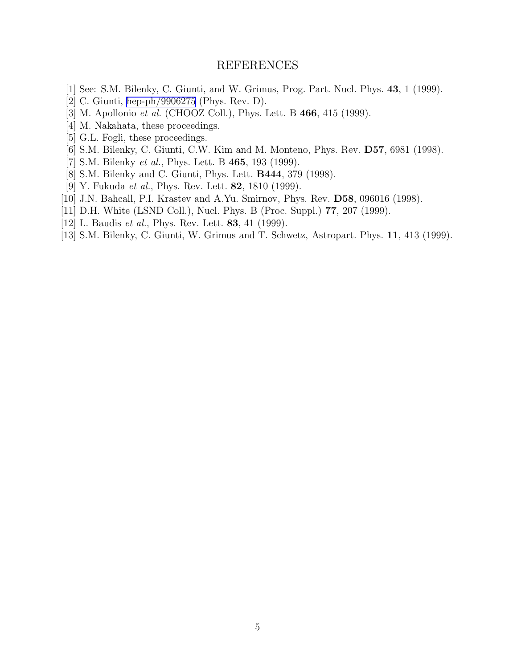## REFERENCES

- <span id="page-4-0"></span>[1] See: S.M. Bilenky, C. Giunti, and W. Grimus, Prog. Part. Nucl. Phys. 43, 1 (1999).
- [2] C. Giunti, [hep-ph/9906275](http://arXiv.org/abs/hep-ph/9906275) (Phys. Rev. D).
- [3] M. Apollonio *et al.* (CHOOZ Coll.), Phys. Lett. B **466**, 415 (1999).
- [4] M. Nakahata, these proceedings.
- [5] G.L. Fogli, these proceedings.
- [6] S.M. Bilenky, C. Giunti, C.W. Kim and M. Monteno, Phys. Rev. D57, 6981 (1998).
- [7] S.M. Bilenky et al., Phys. Lett. B 465, 193 (1999).
- [8] S.M. Bilenky and C. Giunti, Phys. Lett. B444, 379 (1998).
- [9] Y. Fukuda et al., Phys. Rev. Lett. 82, 1810 (1999).
- [10] J.N. Bahcall, P.I. Krastev and A.Yu. Smirnov, Phys. Rev. D58, 096016 (1998).
- [11] D.H. White (LSND Coll.), Nucl. Phys. B (Proc. Suppl.) 77, 207 (1999).
- [12] L. Baudis et al., Phys. Rev. Lett. 83, 41 (1999).
- [13] S.M. Bilenky, C. Giunti, W. Grimus and T. Schwetz, Astropart. Phys. 11, 413 (1999).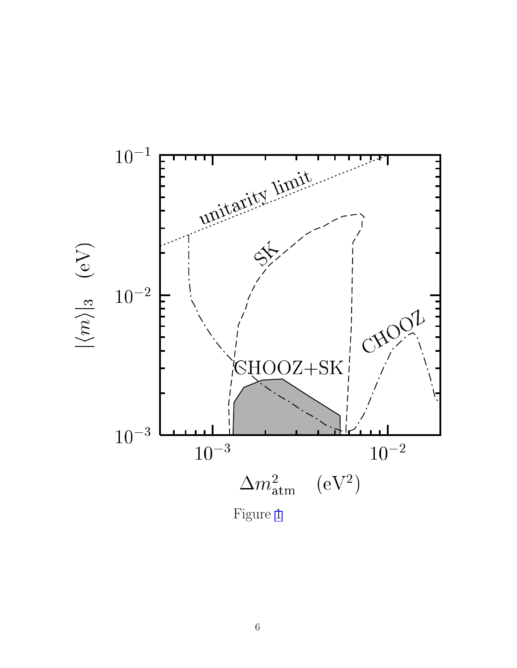<span id="page-5-0"></span>

Figure 1